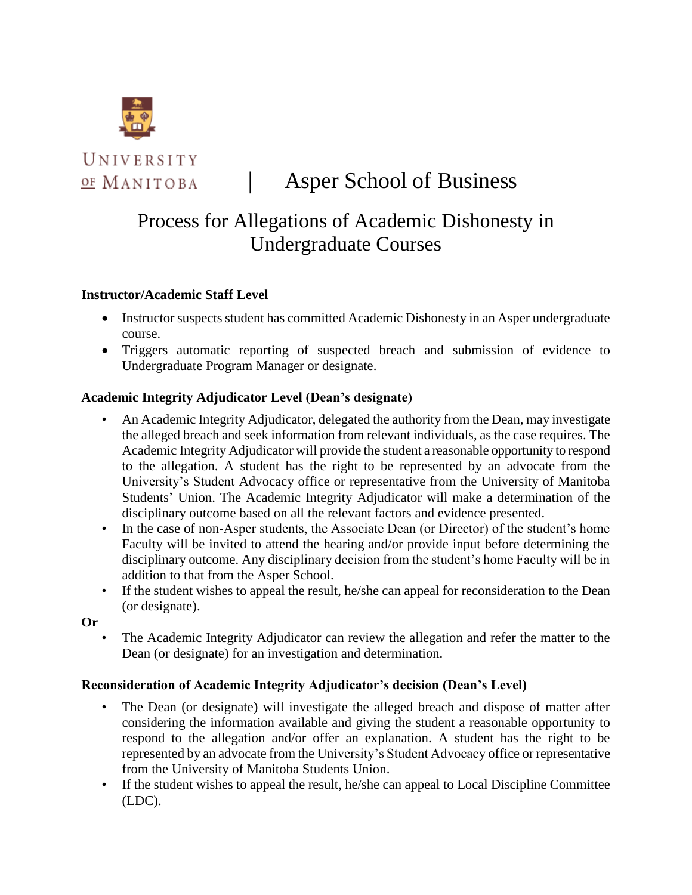

UNIVERSITY OF MANITOBA

# │ Asper School of Business

# Process for Allegations of Academic Dishonesty in Undergraduate Courses

### **Instructor/Academic Staff Level**

- Instructor suspects student has committed Academic Dishonesty in an Asper undergraduate course.
- Triggers automatic reporting of suspected breach and submission of evidence to Undergraduate Program Manager or designate.

# **Academic Integrity Adjudicator Level (Dean's designate)**

- An Academic Integrity Adjudicator, delegated the authority from the Dean, may investigate the alleged breach and seek information from relevant individuals, as the case requires. The Academic Integrity Adjudicator will provide the student a reasonable opportunity to respond to the allegation. A student has the right to be represented by an advocate from the University's Student Advocacy office or representative from the University of Manitoba Students' Union. The Academic Integrity Adjudicator will make a determination of the disciplinary outcome based on all the relevant factors and evidence presented.
- In the case of non-Asper students, the Associate Dean (or Director) of the student's home Faculty will be invited to attend the hearing and/or provide input before determining the disciplinary outcome. Any disciplinary decision from the student's home Faculty will be in addition to that from the Asper School.
- If the student wishes to appeal the result, he/she can appeal for reconsideration to the Dean (or designate).

**Or** 

• The Academic Integrity Adjudicator can review the allegation and refer the matter to the Dean (or designate) for an investigation and determination.

#### **Reconsideration of Academic Integrity Adjudicator's decision (Dean's Level)**

- The Dean (or designate) will investigate the alleged breach and dispose of matter after considering the information available and giving the student a reasonable opportunity to respond to the allegation and/or offer an explanation. A student has the right to be represented by an advocate from the University's Student Advocacy office or representative from the University of Manitoba Students Union.
- If the student wishes to appeal the result, he/she can appeal to Local Discipline Committee (LDC).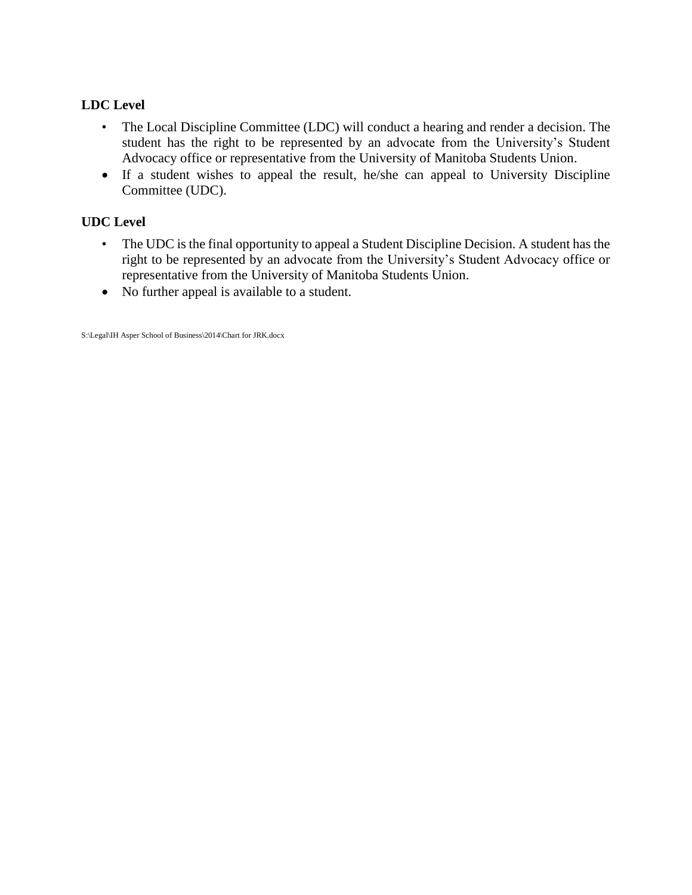# **LDC Level**

- The Local Discipline Committee (LDC) will conduct a hearing and render a decision. The student has the right to be represented by an advocate from the University's Student Advocacy office or representative from the University of Manitoba Students Union.
- If a student wishes to appeal the result, he/she can appeal to University Discipline Committee (UDC).

#### **UDC Level**

- The UDC is the final opportunity to appeal a Student Discipline Decision. A student has the right to be represented by an advocate from the University's Student Advocacy office or representative from the University of Manitoba Students Union.
- No further appeal is available to a student.

S:\Legal\IH Asper School of Business\2014\Chart for JRK.docx